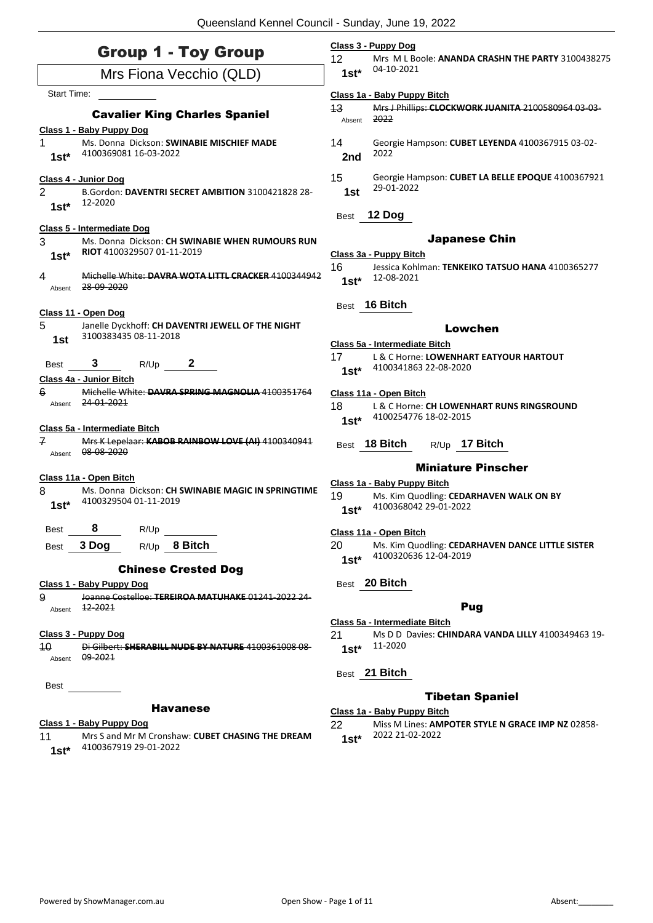### Group 1 - Toy Group

|                | <b>SIVUP I - IVY SIVUP</b>                                                          | 12      | Mrs M L Boole: ANANDA CI           |
|----------------|-------------------------------------------------------------------------------------|---------|------------------------------------|
|                | Mrs Fiona Vecchio (QLD)                                                             | $1st*$  | 04-10-2021                         |
| Start Time:    |                                                                                     |         | Class 1a - Baby Puppy Bitch        |
|                |                                                                                     | 43      | Mrs J Phillips: CLOCKWORK          |
|                | <b>Cavalier King Charles Spaniel</b>                                                | Absent  | 2022                               |
| 1.             | Class 1 - Baby Puppy Dog<br>Ms. Donna Dickson: SWINABIE MISCHIEF MADE               | 14      | Georgie Hampson: CUBET LI          |
|                | 4100369081 16-03-2022                                                               |         | 2022                               |
| $1st^*$        |                                                                                     | 2nd     |                                    |
|                | Class 4 - Junior Dog                                                                | 15      | Georgie Hampson: CUBET L           |
| 2              | B.Gordon: DAVENTRI SECRET AMBITION 3100421828 28-                                   | 1st     | 29-01-2022                         |
| $1st*$         | 12-2020                                                                             |         |                                    |
|                |                                                                                     | Best    | 12 Dog                             |
|                | Class 5 - Intermediate Dog                                                          |         |                                    |
| 3              | Ms. Donna Dickson: CH SWINABIE WHEN RUMOURS RUN                                     |         | <b>Japanese</b>                    |
| $1st^*$        | RIOT 4100329507 01-11-2019                                                          |         | Class 3a - Puppy Bitch             |
| 4              | Michelle White: DAVRA WOTA LITTL CRACKER 4100344942                                 | 16      | Jessica Kohlman: TENKEIKO          |
| Absent         | 28-09-2020                                                                          | $1st^*$ | 12-08-2021                         |
|                |                                                                                     | Best    | 16 Bitch                           |
|                | Class 11 - Open Dog                                                                 |         |                                    |
| 5              | Janelle Dyckhoff: CH DAVENTRI JEWELL OF THE NIGHT                                   |         | Lowch                              |
| 1st            | 3100383435 08-11-2018                                                               |         | Class 5a - Intermediate Bitch      |
|                |                                                                                     | 17      | L & C Horne: LOWENHART E           |
| Best           | 3<br>$R/Up$ 2                                                                       | $1st*$  | 4100341863 22-08-2020              |
|                | Class 4a - Junior Bitch                                                             |         |                                    |
| 6              | Michelle White: DAVRA SPRING MAGNOLIA 4100351764                                    |         | Class 11a - Open Bitch             |
| Absent         | 24-01-2021                                                                          | 18      | L & C Horne: CH LOWENHAI           |
|                |                                                                                     | $1st*$  | 4100254776 18-02-2015              |
| $\overline{f}$ | Class 5a - Intermediate Bitch<br>Mrs K Lepelaar: KABOB RAINBOW LOVE (AI) 4100340941 |         |                                    |
|                | Absent 08-08-2020                                                                   |         | Best 18 Bitch<br>$R/Up$ 17 B       |
|                |                                                                                     |         | <b>Miniature P</b>                 |
|                | Class 11a - Open Bitch                                                              |         | Class 1a - Baby Puppy Bitch        |
| 8              | Ms. Donna Dickson: CH SWINABIE MAGIC IN SPRINGTIME                                  | 19      | Ms. Kim Quodling: CEDARH           |
| $1st*$         | 4100329504 01-11-2019                                                               | $1st*$  | 4100368042 29-01-2022              |
|                |                                                                                     |         |                                    |
| Best           | 8<br>R/Up                                                                           |         | Class 11a - Open Bitch             |
|                | R/Up 8 Bitch<br>Best 3 Dog                                                          |         | 20 Ms. Kim Quodling: CEDARH        |
|                |                                                                                     | $1st*$  | 4100320636 12-04-2019              |
|                | <b>Chinese Crested Dog</b>                                                          |         |                                    |
|                | Class 1 - Baby Puppy Dog                                                            |         | Best 20 Bitch                      |
| 9              | Joanne Costelloe: TEREIROA MATUHAKE 01241-2022 24-                                  |         |                                    |
| Absent         | <u>12-2021 </u>                                                                     |         | <b>Pug</b>                         |
|                |                                                                                     |         | Class 5a - Intermediate Bitch      |
|                | Class 3 - Puppy Dog                                                                 | 21      | Ms D D Davies: CHINDARA<br>11-2020 |
| 10<br>Absent   | Di Gilbert: SHERABILL NUDE BY NATURE 4100361008 08<br>09-2021                       | $1st^*$ |                                    |
|                |                                                                                     |         |                                    |
| Best           |                                                                                     |         | Best 21 Bitch                      |
|                |                                                                                     |         | <b>Tibetan S</b>                   |
|                | <b>Havanese</b>                                                                     |         | Class 1a - Baby Puppy Bitch        |
|                |                                                                                     |         |                                    |

### **Class 1 - Baby Puppy Dog**

11 Mrs S and Mr M Cronshaw: **CUBET CHASING THE DREAM** 4100367919 29-01-2022 **1st\***

### **Class 3 - Puppy Dog**

**RASHN THE PARTY 3100438275** 

| 13     | Mrs J Phillips: CLOCKWORK JUANITA 2100580964 03-03- |
|--------|-----------------------------------------------------|
| Absent | 2022                                                |

- 14 Georgie Hampson: **CUBET LEYENDA** 4100367915 03-02-
- 15 Georgie Hampson: **CUBET LA BELLE EPOQUE** 4100367921

### Chin

16 Jessica Kohlman: **TENKEIKO TATSUO HANA** 4100365277

### len

- **EATYOUR HARTOUT**
- **RT RUNS RINGSROUND**
- $B$ itch

### 'inscher

- **AVEN WALK ON BY**
- **AVEN DANCE LITTLE SISTER**

21 Ms D D Davies: **CHINDARA VANDA LILLY** 4100349463 19-

### paniel

22 Miss M Lines: **AMPOTER STYLE N GRACE IMP NZ** 02858- 2022 21-02-2022 **1st\***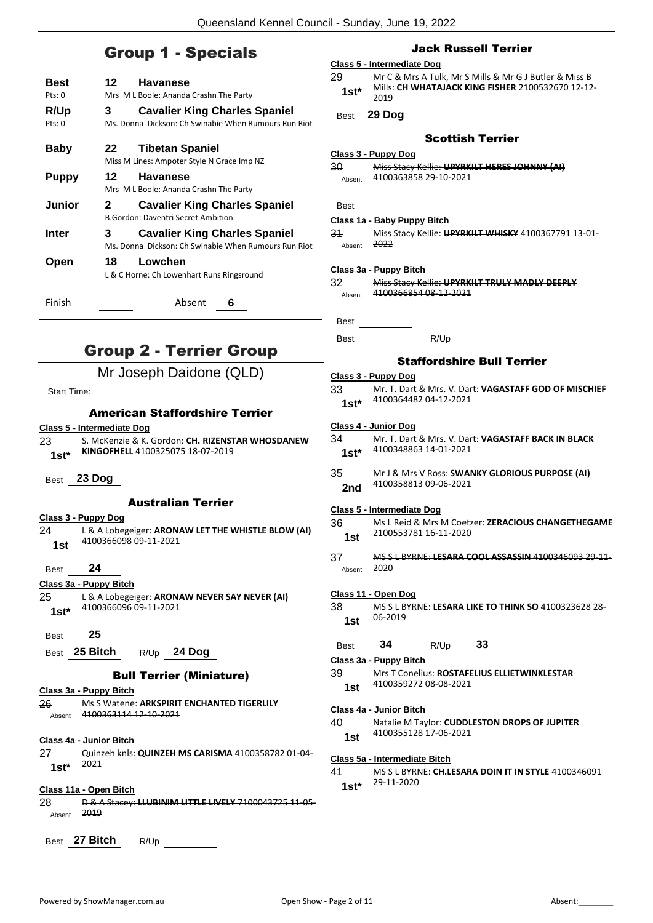### Group 1 - Specials

|                    | <b>Group 1 - Specials</b>                                                                         |
|--------------------|---------------------------------------------------------------------------------------------------|
| Best<br>Pts: 0     | 12 —<br><b>Havanese</b><br>Mrs M L Boole: Ananda Crashn The Party                                 |
| R/Up<br>Pts: 0     | <b>Cavalier King Charles Spaniel</b><br>3<br>Ms. Donna Dickson: Ch Swinabie When Rumours Run Riot |
| <b>Baby</b>        | 22<br><b>Tibetan Spaniel</b><br>Miss M Lines: Ampoter Style N Grace Imp NZ                        |
| <b>Puppy</b>       | 12<br><b>Havanese</b><br>Mrs M L Boole: Ananda Crashn The Party                                   |
| Junior             | <b>Cavalier King Charles Spaniel</b><br>2<br><b>B.Gordon: Daventri Secret Ambition</b>            |
| Inter              | <b>Cavalier King Charles Spaniel</b><br>3<br>Ms. Donna Dickson: Ch Swinabie When Rumours Run Riot |
| Open               | 18<br>Lowchen<br>L & C Horne: Ch Lowenhart Runs Ringsround                                        |
| Finish             | Absent<br>6                                                                                       |
|                    |                                                                                                   |
|                    | <b>Group 2 - Terrier Group</b>                                                                    |
|                    | Mr Joseph Daidone (QLD)                                                                           |
| <b>Start Time:</b> |                                                                                                   |
|                    | American Staffordshire Terrier                                                                    |
|                    | Class 5 - Intermediate Dog                                                                        |
| 23<br>$1st^*$      | S. McKenzie & K. Gordon: CH. RIZENSTAR WHOSDANEW<br>KINGOFHELL 4100325075 18-07-2019              |
|                    | Best 23 Dog                                                                                       |
|                    | <b>Australian Terrier</b>                                                                         |
|                    | Class 3 - Puppy Dog                                                                               |
| 24<br>1st          | L & A Lobegeiger: ARONAW LET THE WHISTLE BLOW (AI)<br>4100366098 09-11-2021                       |
| <b>Best</b>        | 24                                                                                                |
|                    | Class 3a - Puppy Bitch                                                                            |
| 25<br>$1st*$       | L & A Lobegeiger: ARONAW NEVER SAY NEVER (AI)<br>4100366096 09-11-2021                            |
| <b>Best</b>        | 25                                                                                                |
|                    | Best 25 Bitch<br>R/Up 24 Dog                                                                      |
|                    | <b>Bull Terrier (Miniature)</b>                                                                   |
|                    | Class 3a - Puppy Bitch                                                                            |
| 26<br>Absent       | Ms S Watene: ARKSPIRIT ENCHANTED TIGERLILY<br>4100363114 12-10-2021                               |
|                    |                                                                                                   |

### **Class 4a - Junior Bitch**

27 Quinzeh knls: **QUINZEH MS CARISMA** 4100358782 01-04- 2021 **1st\***

### **Class 11a - Open Bitch**

- 28 D & A Stacey: **LLUBINIM LITTLE LIVELY** 7100043725 11-05- Absent 2019
- Best **27 Bitch** R/Up

|              | <b>Jack Russell Terrier</b>                                                          |  |
|--------------|--------------------------------------------------------------------------------------|--|
|              | Class 5 - Intermediate Dog                                                           |  |
| 29           | Mr C & Mrs A Tulk, Mr S Mills & Mr G J Butler & Miss B                               |  |
| $1st^*$      | Mills: CH WHATAJACK KING FISHER 2100532670 12-12-<br>2019                            |  |
|              | Best 29 Dog                                                                          |  |
|              | <b>Scottish Terrier</b>                                                              |  |
|              | <u> Class 3 - Puppy Dog</u>                                                          |  |
| 30           | Miss Stacy Kellie: UPYRKILT HERES JOHNNY (AI)                                        |  |
| Absent       | 4100363858 29-10-2021                                                                |  |
|              |                                                                                      |  |
| Best         |                                                                                      |  |
|              | Class 1a - Baby Puppy Bitch                                                          |  |
| 31<br>Absent | Miss Stacy Kellie: UPYRKILT WHISKY 4100367791 13-01-<br>2022                         |  |
|              |                                                                                      |  |
|              | Class 3a - Puppy Bitch                                                               |  |
| 32           | Miss Stacy Kellie: UPYRKILT TRULY MADLY DEEPLY                                       |  |
|              | Absent 4100366854 08-12-2021                                                         |  |
|              |                                                                                      |  |
| Best         |                                                                                      |  |
| Best         | R/Up                                                                                 |  |
|              | <b>Staffordshire Bull Terrier</b>                                                    |  |
|              | Class 3 - Puppy Dog                                                                  |  |
| 33           | Mr. T. Dart & Mrs. V. Dart: VAGASTAFF GOD OF MISCHIEF                                |  |
| $1st^*$      | 4100364482 04-12-2021                                                                |  |
|              | Class 4 - Junior Dog                                                                 |  |
| 34           | Mr. T. Dart & Mrs. V. Dart: VAGASTAFF BACK IN BLACK                                  |  |
| 1st $^*$     | 4100348863 14-01-2021                                                                |  |
| 35           | Mr J & Mrs V Ross: SWANKY GLORIOUS PURPOSE (AI)                                      |  |
| 2nd          | 4100358813 09-06-2021                                                                |  |
|              |                                                                                      |  |
|              | Class 5 - Intermediate Dog                                                           |  |
| 36           | Ms L Reid & Mrs M Coetzer: ZERACIOUS CHANGETHEGAME<br>2100553781 16-11-2020          |  |
| 1st          |                                                                                      |  |
| 37           | MS S L BYRNE: LESARA COOL ASSASSIN 4100346093 29-11-                                 |  |
| Absent       | 2020                                                                                 |  |
|              | Class 11 - Open Dog                                                                  |  |
| 38           | MS S L BYRNE: LESARA LIKE TO THINK SO 4100323628 28-                                 |  |
| 1st          | 06-2019                                                                              |  |
|              |                                                                                      |  |
| Best         | 34<br>$R/Up$ 33                                                                      |  |
|              | <u> Class 3a - Puppy Bitch</u>                                                       |  |
| 39           | Mrs T Conelius: ROSTAFELIUS ELLIETWINKLESTAR                                         |  |
| 1st          | 4100359272 08-08-2021                                                                |  |
|              | Class 4a - Junior Bitch                                                              |  |
| 40.          | Natalie M Taylor: CUDDLESTON DROPS OF JUPITER                                        |  |
| 1st          | 4100355128 17-06-2021                                                                |  |
|              |                                                                                      |  |
| 41           | Class 5a - Intermediate Bitch<br>MS S L BYRNE: CH.LESARA DOIN IT IN STYLE 4100346091 |  |
| $1st^*$      | 29-11-2020                                                                           |  |
|              |                                                                                      |  |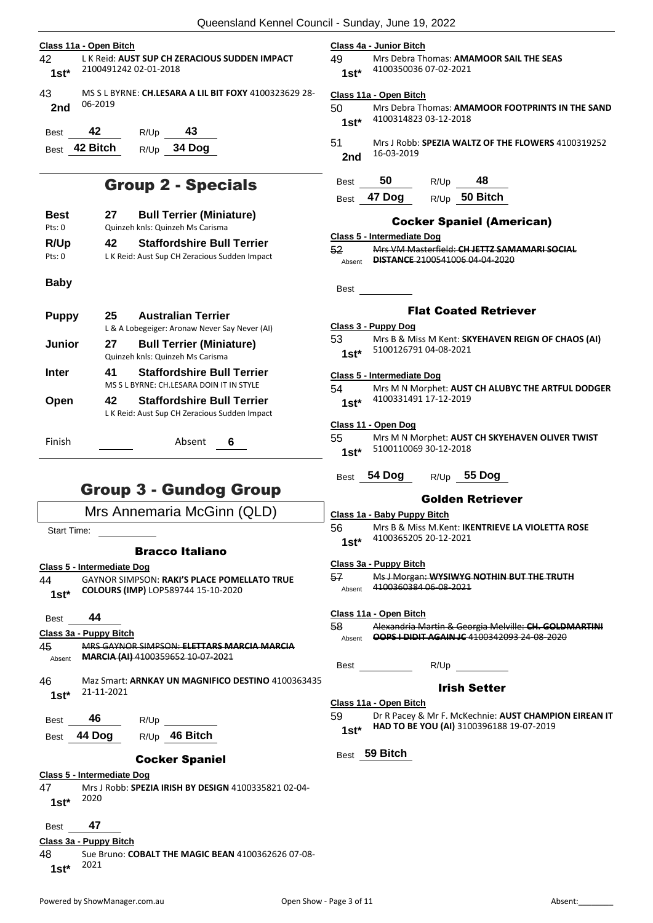|                | Class 11a - Open Bitch                                                 |                                                                                    |  |
|----------------|------------------------------------------------------------------------|------------------------------------------------------------------------------------|--|
| 42<br>$1st^*$  | L K Reid: AUST SUP CH ZERACIOUS SUDDEN IMPACT<br>2100491242 02-01-2018 |                                                                                    |  |
| 43<br>2nd      | 06-2019                                                                | MS S L BYRNE: CH.LESARA A LIL BIT FOXY 4100323629 28-                              |  |
| <b>Best</b>    | 42                                                                     | - 43<br>R/Up                                                                       |  |
|                | Best 42 Bitch                                                          | R/Up 34 Dog                                                                        |  |
|                |                                                                        | <b>Group 2 - Specials</b>                                                          |  |
| Best<br>Pts: 0 | 27                                                                     | <b>Bull Terrier (Miniature)</b><br>Quinzeh knls: Quinzeh Ms Carisma                |  |
| R/Up<br>Pts: 0 | 42                                                                     | <b>Staffordshire Bull Terrier</b><br>L K Reid: Aust Sup CH Zeracious Sudden Impact |  |
| Baby           |                                                                        |                                                                                    |  |
| <b>Puppy</b>   | 25.                                                                    | <b>Australian Terrier</b><br>L & A Lobegeiger: Aronaw Never Say Never (AI)         |  |
| Junior         | 27                                                                     | <b>Bull Terrier (Miniature)</b><br>Quinzeh knls: Quinzeh Ms Carisma                |  |
| Inter          | 41                                                                     | <b>Staffordshire Bull Terrier</b><br>MS S L BYRNE: CH.LESARA DOIN IT IN STYLE      |  |
| nno,           |                                                                        | 12 Ctoffordebire Dull Terrier                                                      |  |

| <b>Open</b> | 42 | <b>Staffordshire Bull Terrier</b>             |   |
|-------------|----|-----------------------------------------------|---|
|             |    | L K Reid: Aust Sup CH Zeracious Sudden Impact |   |
| Finish      |    | Absent                                        | 6 |

## Group 3 - Gundog Group



### **Class 4a - Junior Bitch**

49 Mrs Debra Thomas: **AMAMOOR SAIL THE SEAS** 4100350036 07-02-2021 **1st\***

#### **Class 11a - Open Bitch**

| 50     | Mrs Debra Thomas: AMAMOOR FOOTPRINTS IN THE SAND |
|--------|--------------------------------------------------|
| $1st*$ | 4100314823 03-12-2018                            |

51 Mrs J Robb: **SPEZIA WALTZ OF THE FLOWERS** 4100319252 16-03-2019 **2nd**

| <b>Best</b> | 50 | R/Up | 48 |
|-------------|----|------|----|
|-------------|----|------|----|

Best **47 Dog** R/Up **50 Bitch**

### Cocker Spaniel (American)

|        | Class 5 - Intermediate Dog                   |
|--------|----------------------------------------------|
| 52     | Mrs VM Masterfield: CH JETTZ SAMAMARI SOCIAL |
| Absent | <b>DISTANCE 2100541006 04 04 2020</b>        |
|        |                                              |

Best

### Flat Coated Retriever

#### **Class 3 - Puppy Dog**

| 53     | Mrs B & Miss M Kent: SKYEHAVEN REIGN OF CHAOS (AI) |
|--------|----------------------------------------------------|
| $1st*$ | 5100126791 04-08-2021                              |

### **Class 5 - Intermediate Dog**

### 54 Mrs M N Morphet: **AUST CH ALUBYC THE ARTFUL DODGER** 4100331491 17-12-2019 **1st\***

### **Class 11 - Open Dog**

| 55     | Mrs M N Morphet: AUST CH SKYEHAVEN OLIVER TWIST |
|--------|-------------------------------------------------|
| $1st*$ | 5100110069 30-12-2018                           |

Best **54 Dog** R/Up **55 Dog**

### Golden Retriever

### **Class 1a - Baby Puppy Bitch**

56 Mrs B & Miss M.Kent: **IKENTRIEVE LA VIOLETTA ROSE** 4100365205 20-12-2021 **1st\***

### **Class 3a - Puppy Bitch**

| 57     | Mc LMorgan: M/VCIM/VC MOTHIN RUIT THE TRUITH<br><u>wiss widigail. Whenever a nominal bornine thom</u> |
|--------|-------------------------------------------------------------------------------------------------------|
| Absent | 4100360384 06-08-2021                                                                                 |

#### **Class 11a - Open Bitch**

- 58 Alexandria Martin & Georgia Melville: **CH. GOLDMARTINI**  Absent **OOPS I DIDIT AGAIN JC** 4100342093 24-08-2020
	- Best R/Up

### Irish Setter

### **Class 11a - Open Bitch**

59 Dr R Pacey & Mr F. McKechnie: **AUST CHAMPION EIREAN IT HAD TO BE YOU (AI)** 3100396188 19-07-2019 **1st\***

Best **59 Bitch**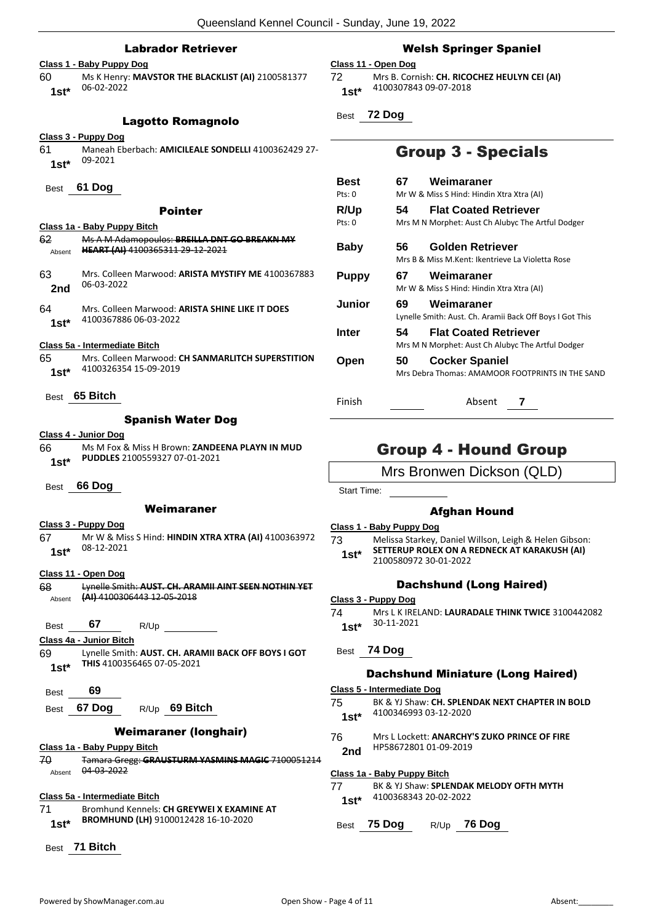### Labrador Retriever

### **Class 1 - Baby Puppy Dog**

60 Ms K Henry: **MAVSTOR THE BLACKLIST (AI)** 2100581377 06-02-2022 **1st\***

### Lagotto Romagnolo

### **Class 3 - Puppy Dog**

- 61 Maneah Eberbach: **AMICILEALE SONDELLI** 4100362429 27- 09-2021 **1st\***
- Best **61 Dog**

### Pointer

|        | Class 1a - Baby Puppy Bitch                  |
|--------|----------------------------------------------|
| 62     | Ms A M Adamopoulos: BREILLA DNT GO BREAKN MY |
| Absent | HEART (AI) 4100365311 29-12-2021             |

- 63 Mrs. Colleen Marwood: **ARISTA MYSTIFY ME** 4100367883 06-03-2022 **2nd**
- 64 Mrs. Colleen Marwood: **ARISTA SHINE LIKE IT DOES** 4100367886 06-03-2022 **1st\***

### **Class 5a - Intermediate Bitch**

- 65 Mrs. Colleen Marwood: **CH SANMARLITCH SUPERSTITION** 4100326354 15-09-2019 **1st\***
- Best **65 Bitch**

### Spanish Water Dog

### **Class 4 - Junior Dog**

- 66 Ms M Fox & Miss H Brown: **ZANDEENA PLAYN IN MUD PUDDLES** 2100559327 07-01-2021 **1st\***
- Best **66 Dog**

### Weimaraner

#### **Class 3 - Puppy Dog**

- 67 Mr W & Miss S Hind: **HINDIN XTRA XTRA (AI)** 4100363972 08-12-2021 **1st\***
- **Class 11 - Open Dog**
- 68 Lynelle Smith: **AUST. CH. ARAMII AINT SEEN NOTHIN YET**  Absent **(AI)** 4100306443 12-05-2018 Best **67** R/Up **Class 4a - Junior Bitch THIS** 4100356465 07-05-2021 **1st\*** Best **69** Best **67 Dog** R/Up **69 Bitch** Weimaraner (longhair) **Class 1a - Baby Puppy Bitch** Absent 04 03 2022 **Class 5a - Intermediate Bitch** 71 Bromhund Kennels: **CH GREYWEI X EXAMINE AT BROMHUND (LH)** 9100012428 16-10-2020 **1st\***
	- Best **71 Bitch**

### Welsh Springer Spaniel

### **Class 11 - Open Dog**

72 Mrs B. Cornish: **CH. RICOCHEZ HEULYN CEI (AI)** 4100307843 09-07-2018 **1st\***

Best **72 Dog**

### Group 3 - Specials

| Best<br>Pts: 0 | 67 | Weimaraner<br>Mr W & Miss S Hind: Hindin Xtra Xtra (AI)                           |
|----------------|----|-----------------------------------------------------------------------------------|
| R/Up<br>Pts: 0 | 54 | <b>Flat Coated Retriever</b><br>Mrs M N Morphet: Aust Ch Alubyc The Artful Dodger |
| Baby           | 56 | Golden Retriever<br>Mrs B & Miss M.Kent: Ikentrieve La Violetta Rose              |
| <b>Puppy</b>   | 67 | Weimaraner<br>Mr W & Miss S Hind: Hindin Xtra Xtra (AI)                           |
| Junior         | 69 | Weimaraner<br>Lynelle Smith: Aust. Ch. Aramii Back Off Boys I Got This            |
| Inter          | 54 | <b>Flat Coated Retriever</b><br>Mrs M N Morphet: Aust Ch Alubyc The Artful Dodger |
| Open           | 50 | <b>Cocker Spaniel</b><br>Mrs Debra Thomas: AMAMOOR FOOTPRINTS IN THE SAND         |

### Group 4 - Hound Group

Mrs Bronwen Dickson (QLD)

Start Time:

### Afghan Hound

#### **Class 1 - Baby Puppy Dog**

73 Melissa Starkey, Daniel Willson, Leigh & Helen Gibson: **SETTERUP ROLEX ON A REDNECK AT KARAKUSH (AI)** 1st\* **3ELLERUP ROLEX ON A F**<br>2100580972 30-01-2022

Finish Absent **7**

### Dachshund (Long Haired)

- **Class 3 - Puppy Dog**
- 74 Mrs L K IRELAND: **LAURADALE THINK TWICE** 3100442082 30-11-2021 **1st\***
- Best **74 Dog**

### Dachshund Miniature (Long Haired)

#### **Class 5 - Intermediate Dog**

- 75 BK & YJ Shaw: **CH. SPLENDAK NEXT CHAPTER IN BOLD** 4100346993 03-12-2020 **1st\***
- 76 Mrs L Lockett: **ANARCHY'S ZUKO PRINCE OF FIRE** HP58672801 01-09-2019 **2nd**

### **Class 1a - Baby Puppy Bitch**

77 BK & YJ Shaw: **SPLENDAK MELODY OFTH MYTH** 4100368343 20-02-2022 **1st\***

### Best **75 Dog** R/Up **76 Dog**

- 69 Lynelle Smith: **AUST. CH. ARAMII BACK OFF BOYS I GOT**
- 70 Tamara Gregg: **GRAUSTURM YASMINS MAGIC** 7100051214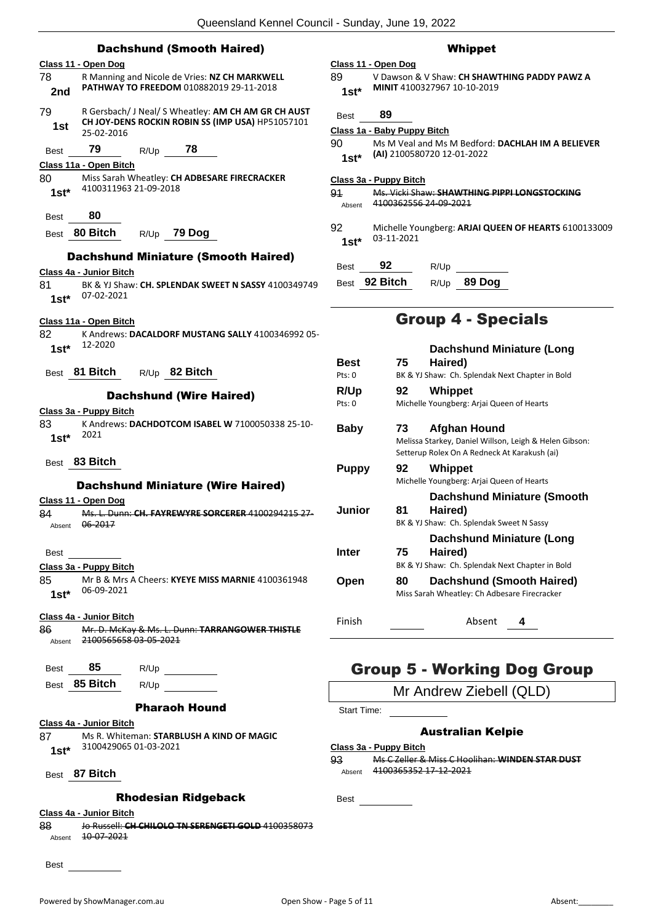|                 |                         |               | <b>Dachshund (Smooth Haired)</b>                    |            |
|-----------------|-------------------------|---------------|-----------------------------------------------------|------------|
|                 | Class 11 - Open Dog     |               |                                                     | Cla        |
| 78              |                         |               | R Manning and Nicole de Vries: NZ CH MARKWELL       | 89         |
| 2nd             |                         |               | PATHWAY TO FREEDOM 010882019 29-11-2018             |            |
| 79              |                         |               | R Gersbach/ J Neal/ S Wheatley: AM CH AM GR CH AUST | B          |
| 1st             | 25-02-2016              |               | CH JOY-DENS ROCKIN ROBIN SS (IMP USA) HP51057101    | <u>Cla</u> |
| Best            | 79                      | $R/Up$ 78     |                                                     | 90         |
|                 | Class 11a - Open Bitch  |               |                                                     |            |
| 80              |                         |               | Miss Sarah Wheatley: CH ADBESARE FIRECRACKER        | <u>Cl:</u> |
| $1st*$          | 4100311963 21-09-2018   |               |                                                     | 91         |
|                 |                         |               |                                                     |            |
| Best            | 80                      |               |                                                     | 92         |
| Best            | 80 Bitch                | R/Up 79 Dog   |                                                     |            |
|                 |                         |               | <b>Dachshund Miniature (Smooth Haired)</b>          |            |
|                 | Class 4a - Junior Bitch |               |                                                     | Е          |
| 81              |                         |               | BK & YJ Shaw: CH. SPLENDAK SWEET N SASSY 4100349749 | Е          |
| $1st*$          | 07-02-2021              |               |                                                     |            |
|                 | Class 11a - Open Bitch  |               |                                                     |            |
| 82              |                         |               | K Andrews: DACALDORF MUSTANG SALLY 4100346992 05-   |            |
| $1st*$          | 12-2020                 |               |                                                     |            |
|                 | 81 Bitch                | R/Up 82 Bitch |                                                     | Е          |
| <b>Best</b>     |                         |               |                                                     | P          |
|                 |                         |               | <b>Dachshund (Wire Haired)</b>                      | F<br>P     |
|                 | Class 3a - Puppy Bitch  |               |                                                     |            |
| 83              | 2021                    |               | K Andrews: DACHDOTCOM ISABEL W 7100050338 25-10-    | Е          |
| $1st*$          |                         |               |                                                     |            |
| Best            | 83 Bitch                |               |                                                     |            |
|                 |                         |               |                                                     | F          |
|                 |                         |               | <b>Dachshund Miniature (Wire Haired)</b>            |            |
| 84              | Class 11 - Open Dog     |               | Ms. L. Dunn: CH. FAYREWYRE SORCERER 4100294215 27-  |            |
| Absent          | 06-2017                 |               |                                                     |            |
|                 |                         |               |                                                     |            |
| Best            |                         |               |                                                     | Ш          |
|                 | Class 3a - Puppy Bitch  |               |                                                     |            |
| 85<br>$1st^*$   | 06-09-2021              |               | Mr B & Mrs A Cheers: KYEYE MISS MARNIE 4100361948   |            |
|                 |                         |               |                                                     |            |
|                 | Class 4a - Junior Bitch |               |                                                     | F          |
| 86              | 2100565658 03-05-2021   |               | Mr. D. McKay & Ms. L. Dunn: TARRANGOWER THISTLE     |            |
| Absent          |                         |               |                                                     |            |
| Best            | 85                      | R/Up          |                                                     |            |
|                 | Best 85 Bitch           | R/Up          |                                                     |            |
|                 |                         |               |                                                     |            |
|                 |                         |               | <b>Pharaoh Hound</b>                                |            |
|                 | Class 4a - Junior Bitch |               |                                                     |            |
| 87 -<br>$1st^*$ | 3100429065 01-03-2021   |               | Ms R. Whiteman: STARBLUSH A KIND OF MAGIC           | Cl         |
|                 |                         |               |                                                     | 93         |
|                 | Best 87 Bitch           |               |                                                     |            |
|                 |                         |               | <b>Rhodesian Ridgeback</b>                          | Е          |
|                 | Class 4a - Junior Bitch |               |                                                     |            |
|                 |                         |               |                                                     |            |

88 Jo Russell: **CH CHILOLO TN SERENGETI GOLD** 4100358073 Absent 10-07-2021

Best

### Whippet

**Class 11 - Open Dog** 89 V Dawson & V Shaw: **CH SHAWTHING PADDY PAWZ A MINIT** 4100327967 10-10-2019 **1st\***

| Best          | 89                          |                                                                                 |  |
|---------------|-----------------------------|---------------------------------------------------------------------------------|--|
|               | Class 1a - Baby Puppy Bitch |                                                                                 |  |
| 90.<br>$1st*$ |                             | Ms M Veal and Ms M Bedford: DACHLAH IM A BELIEVER<br>(AI) 2100580720 12-01-2022 |  |

**Class 3a - Puppy Bitch**

91 Ms. Vicki Shaw: **SHAWTHING PIPPI LONGSTOCKING** Absent 4100362556 24 09 2021

92 Michelle Youngberg: **ARJAI QUEEN OF HEARTS** 6100133009 03-11-2021 **1st\***

| Best | 92            | R/Up |               |
|------|---------------|------|---------------|
|      | Best 92 Bitch |      | $R/Up$ 89 Dog |

### Group 4 - Specials

| <b>Best</b><br>Pts: 0 | 75. | <b>Dachshund Miniature (Long</b><br>Haired)<br>BK & YJ Shaw: Ch. Splendak Next Chapter in Bold                         |
|-----------------------|-----|------------------------------------------------------------------------------------------------------------------------|
| R/Up<br>Pts: 0        | 92  | Whippet<br>Michelle Youngberg: Arjai Queen of Hearts                                                                   |
| Baby                  | 73  | Afghan Hound<br>Melissa Starkey, Daniel Willson, Leigh & Helen Gibson:<br>Setterup Rolex On A Redneck At Karakush (ai) |
| Puppy                 | 92  | Whippet<br>Michelle Youngberg: Arjai Queen of Hearts                                                                   |
| Junior                | 81. | Dachshund Miniature (Smooth<br>Haired)<br>BK & YJ Shaw: Ch. Splendak Sweet N Sassy                                     |
| Inter                 | 75. | Dachshund Miniature (Long<br>Haired)<br>BK & YJ Shaw: Ch. Splendak Next Chapter in Bold                                |
| Open                  | 80  | Dachshund (Smooth Haired)<br>Miss Sarah Wheatley: Ch Adbesare Firecracker                                              |
| Finish                |     | Absent<br>4                                                                                                            |

### Group 5 - Working Dog Group

Mr Andrew Ziebell (QLD)

Start Time:

### Australian Kelpie

### **Class 3a - Puppy Bitch**

93 Ms C Zeller & Miss C Hoolihan: **WINDEN STAR DUST** Absent 4100365352 17-12-2021

Best
<u>L</u>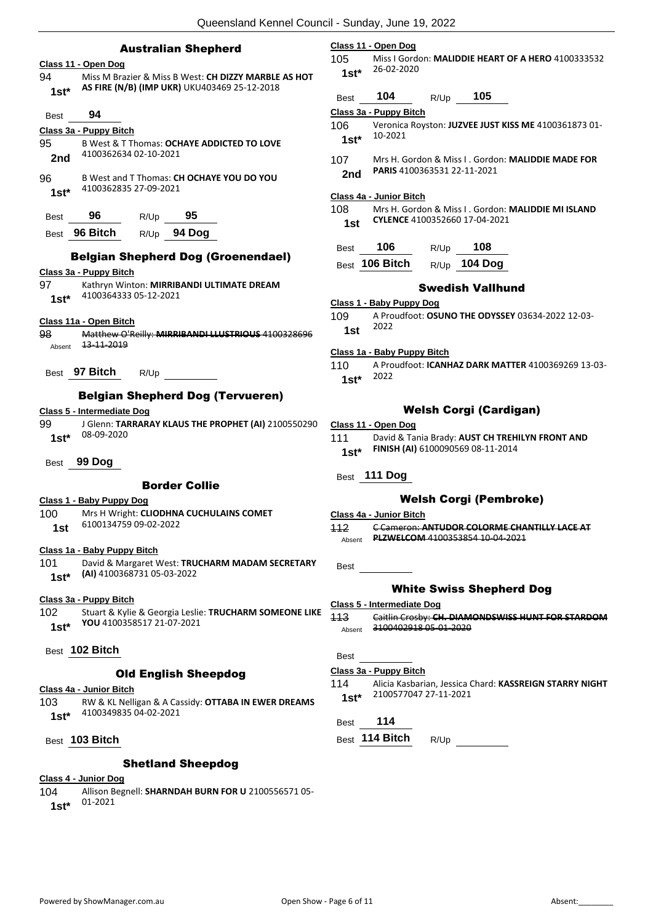|                | <b>Australian Shepherd</b>                                                                  |                                                        | <b>Class</b>                                                                        |
|----------------|---------------------------------------------------------------------------------------------|--------------------------------------------------------|-------------------------------------------------------------------------------------|
|                | Class 11 - Open Dog                                                                         |                                                        | 105                                                                                 |
| 94<br>$1st^*$  | AS FIRE (N/B) (IMP UKR) UKU403469 25-12-2018                                                | Miss M Brazier & Miss B West: CH DIZZY MARBLE AS HOT   |                                                                                     |
|                |                                                                                             |                                                        | <b>Best</b>                                                                         |
| Best           | 94                                                                                          |                                                        | Class                                                                               |
|                | Class 3a - Puppy Bitch                                                                      |                                                        | 106.                                                                                |
| 95<br>2nd      | B West & T Thomas: OCHAYE ADDICTED TO LOVE<br>4100362634 02-10-2021                         |                                                        | 107                                                                                 |
| 96             | B West and T Thomas: CH OCHAYE YOU DO YOU                                                   |                                                        |                                                                                     |
| $1st^*$        | 4100362835 27-09-2021                                                                       |                                                        |                                                                                     |
|                |                                                                                             |                                                        | Class<br>108                                                                        |
| Best           | 96<br>R/Up 95                                                                               |                                                        |                                                                                     |
|                | Best 96 Bitch R/Up 94 Dog                                                                   |                                                        |                                                                                     |
|                |                                                                                             |                                                        | <b>Best</b>                                                                         |
|                |                                                                                             | <b>Belgian Shepherd Dog (Groenendael)</b>              | <b>Best</b>                                                                         |
| 97 —           | Class 3a - Puppy Bitch<br>Kathryn Winton: MIRRIBANDI ULTIMATE DREAM                         |                                                        |                                                                                     |
| $1st^*$        | 4100364333 05-12-2021                                                                       |                                                        |                                                                                     |
|                |                                                                                             |                                                        | <b>Class</b><br>109                                                                 |
|                | Class 11a - Open Bitch                                                                      |                                                        |                                                                                     |
|                |                                                                                             |                                                        |                                                                                     |
| 98<br>Absent   | <del>13-11-2019</del>                                                                       | Matthew O'Reilly: MIRRIBANDI LLUSTRIOUS 4100328696     |                                                                                     |
|                |                                                                                             |                                                        |                                                                                     |
|                | Best 97 Bitch R/Up<br><b>Belgian Shepherd Dog (Tervueren)</b><br>Class 5 - Intermediate Dog |                                                        |                                                                                     |
| 99<br>$1st^*$  | 08-09-2020                                                                                  | J Glenn: TARRARAY KLAUS THE PROPHET (AI) 2100550290    |                                                                                     |
| Best           | 99 Dog                                                                                      |                                                        |                                                                                     |
|                | <b>Border Collie</b>                                                                        |                                                        |                                                                                     |
|                | <u> Class 1 - Baby Puppy Dog</u>                                                            |                                                        |                                                                                     |
| 100            | Mrs H Wright: CLIODHNA CUCHULAINS COMET<br>6100134759 09-02-2022                            |                                                        |                                                                                     |
| 1st            |                                                                                             |                                                        |                                                                                     |
|                | Class 1a - Baby Puppy Bitch                                                                 |                                                        |                                                                                     |
| 101<br>$1st^*$ | (AI) 4100368731 05-03-2022                                                                  | David & Margaret West: TRUCHARM MADAM SECRETARY        |                                                                                     |
|                | Class 3a - Puppy Bitch                                                                      |                                                        | <b>Class</b><br>110  <br><b>Class</b><br>111<br><b>Best</b><br>Class<br>112<br>Best |
| 102            |                                                                                             | Stuart & Kylie & Georgia Leslie: TRUCHARM SOMEONE LIKE |                                                                                     |
| $1st^*$        | YOU 4100358517 21-07-2021                                                                   |                                                        |                                                                                     |
|                | Best 102 Bitch                                                                              |                                                        |                                                                                     |
|                | <b>Old English Sheepdog</b>                                                                 |                                                        |                                                                                     |
|                | Class 4a - Junior Bitch                                                                     |                                                        | <u>Class</u><br>113<br>Best<br>Class<br>114                                         |
| 103<br>$1st*$  | 4100349835 04-02-2021                                                                       | RW & KL Nelligan & A Cassidy: OTTABA IN EWER DREAMS    | Best                                                                                |

### **Class 4 - Junior Dog**

104 Allison Begnell: **SHARNDAH BURN FOR U** 2100556571 05- 01-2021 **1st\***

### **Class 11 - Open Dog**

105 Miss I Gordon: **MALIDDIE HEART OF A HERO** 4100333532  $1*$  26-02-2020

| Best | 104 | R/Up | 105 |
|------|-----|------|-----|
|      |     |      |     |

**Class 3a - Puppy Bitch**

- 106 Veronica Royston: **JUZVEE JUST KISS ME** 4100361873 01-  $10-2021$
- 107 Mrs H. Gordon & Miss I . Gordon: **MALIDDIE MADE FOR d** PARIS 4100363531 22-11-2021

### **Class 4a - Junior Bitch**

- Best **106** R/Up **108**
- Best **106 Bitch** R/Up **104 Dog**

### Swedish Vallhund

### **Class 1 - Baby Puppy Dog**

109 A Proudfoot: **OSUNO THE ODYSSEY** 03634-2022 12-03-  $2022$ 

### **Class 1a - Baby Puppy Bitch**

110 A Proudfoot: **ICANHAZ DARK MATTER** 4100369269 13-03-  $1*$  2022

### Welsh Corgi (Cardigan)

### **Class 11 - Open Dog**

David & Tania Brady: **AUST CH TREHILYN FRONT AND FINISH (AI)** 6100090569 08-11-2014 **1st\***

### Best **111 Dog**

### Welsh Corgi (Pembroke)

**Class 4a - Junior Bitch**

112 C Cameron: **ANTUDOR COLORME CHANTILLY LACE AT**  Absent **PLZWELCOM** 4100353854 10-04-2021

### White Swiss Shepherd Dog

- **Class 5 - Intermediate Dog**
- 113 Caitlin Crosby: **CH. DIAMONDSWISS HUNT FOR STARDOM** <sub>ent</sub> 3100402918 05 01 2020

### **Class 3a - Puppy Bitch**

114 Alicia Kasbarian, Jessica Chard: **KASSREIGN STARRY NIGHT** 2100577047 27-11-2021 **1st\***

### Best **114**

### 114 Bitch R/Up

<sup>108</sup> Mrs H. Gordon & Miss I . Gordon: **MALIDDIE MI ISLAND CYLENCE** 4100352660 17-04-2021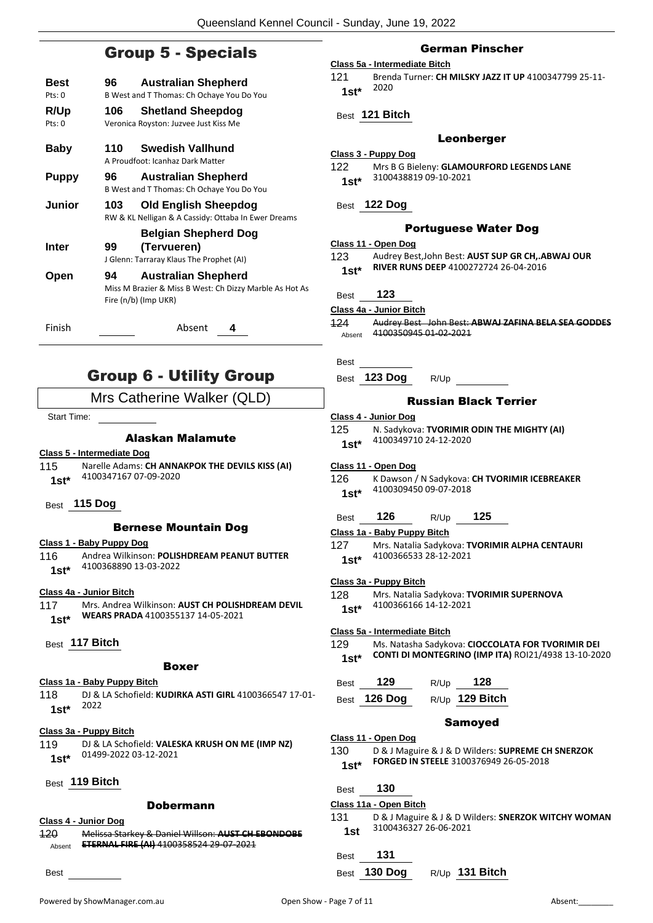### Group 5 - Specials

| Best<br>Pts:0            | 96. | <b>Australian Shepherd</b><br>B West and T Thomas: Ch Ochaye You Do You                                       |
|--------------------------|-----|---------------------------------------------------------------------------------------------------------------|
| R/Up<br>$P$ ts: $\Omega$ | 106 | <b>Shetland Sheepdog</b><br>Veronica Royston: Juzvee Just Kiss Me                                             |
| Baby                     | 110 | Swedish Vallhund<br>A Proudfoot: Icanhaz Dark Matter                                                          |
| <b>Puppy</b>             | 96  | <b>Australian Shepherd</b><br>B West and T Thomas: Ch Ochaye You Do You                                       |
| Junior                   | 103 | Old English Sheepdog<br>RW & KL Nelligan & A Cassidy: Ottaba In Ewer Dreams                                   |
| Inter                    | 99  | <b>Belgian Shepherd Dog</b><br>(Tervueren)<br>J Glenn: Tarraray Klaus The Prophet (AI)                        |
| Open                     | 94  | <b>Australian Shepherd</b><br>Miss M Brazier & Miss B West: Ch Dizzy Marble As Hot As<br>Fire (n/b) (Imp UKR) |
| Finish                   |     | Absent<br>4                                                                                                   |

### Group 6 - Utility Group

### Mrs Catherine Walker (QLD)

Start Time:

### Alaskan Malamute

### **Class 5 - Intermediate Dog**

- 115 Narelle Adams: **CH ANNAKPOK THE DEVILS KISS (AI)** 4100347167 07-09-2020 **1st\***
- Best **115 Dog**

### Bernese Mountain Dog

### **Class 1 - Baby Puppy Dog**

116 Andrea Wilkinson: **POLISHDREAM PEANUT BUTTER** 4100368890 13-03-2022 **1st\***

### **Class 4a - Junior Bitch**

- 117 Mrs. Andrea Wilkinson: **AUST CH POLISHDREAM DEVIL WEARS PRADA** 4100355137 14-05-2021 **1st\***
- Best **117 Bitch**

### Boxer

### **Class 1a - Baby Puppy Bitch**

118 DJ & LA Schofield: **KUDIRKA ASTI GIRL** 4100366547 17-01- <sup>2022</sup> **1st\***

### **Class 3a - Puppy Bitch**

| 119     | DJ & LA Schofield: VALESKA KRUSH ON ME (IMP NZ) |
|---------|-------------------------------------------------|
| $1st^*$ | 01499-2022 03-12-2021                           |

### Best **119 Bitch**

### Dobermann

**Class 4 - Junior Dog**

120 Melissa Starkey & Daniel Willson: **AUST CH EBONDOBE**  Absent **ETERNAL FIRE (AI)** 4100358524 29-07-2021

Best

### German Pinscher

### **Class 5a - Intermediate Bitch**

121 Brenda Turner: **CH MILSKY JAZZ IT UP** 4100347799 25-11- <sup>2020</sup> **1st\***

### Best **121 Bitch**

### Leonberger

### **Class 3 - Puppy Dog**

| 122    | Mrs B G Bieleny: GLAMOURFORD LEGENDS LANE |
|--------|-------------------------------------------|
| $1st*$ | 3100438819 09-10-2021                     |

### Best **122 Dog**

### Portuguese Water Dog

**Class 11 - Open Dog**

123 Audrey Best,John Best: **AUST SUP GR CH,.ABWAJ OUR RIVER RUNS DEEP** 4100272724 26-04-2016 **1st\***

Best **123**

### **Class 4a - Junior Bitch**

- 124 Audrey Best John Best: **ABWAJ ZAFINA BELA SEA GODDES** Absent 4100350945 01-02-2021
- Best
- Best **123 Dog** R/Up

### Russian Black Terrier

- **Class 4 - Junior Dog**
- 125 N. Sadykova: **TVORIMIR ODIN THE MIGHTY (AI)** 4100349710 24-12-2020 **1st\***

**Class 11 - Open Dog**

126 K Dawson / N Sadykova: **CH TVORIMIR ICEBREAKER** 4100309450 09-07-2018 **1st\***

### Best **126** R/Up **125**

- **Class 1a - Baby Puppy Bitch**
- 127 Mrs. Natalia Sadykova: **TVORIMIR ALPHA CENTAURI** 4100366533 28-12-2021 **1st\***

### **Class 3a - Puppy Bitch**

128 Mrs. Natalia Sadykova: **TVORIMIR SUPERNOVA** 4100366166 14-12-2021 **1st\***

### **Class 5a - Intermediate Bitch**

129 Ms. Natasha Sadykova: **CIOCCOLATA FOR TVORIMIR DEI CONTI DI MONTEGRINO (IMP ITA)** ROI21/4938 13-10-2020 **1st\***

| <b>Best</b> | 129 | R/Up | 128 |
|-------------|-----|------|-----|
|-------------|-----|------|-----|

- **Class 11 - Open Dog**
- 130 D & J Maguire & J & D Wilders: **SUPREME CH SNERZOK FORGED IN STEELE** 3100376949 26-05-2018 **1st\***

| <b>Best</b> | 130 |
|-------------|-----|
|             |     |

- **Class 11a - Open Bitch**
- 131 D & J Maguire & J & D Wilders: **SNERZOK WITCHY WOMAN** 3100436327 26-06-2021 **1st**
- Best **131** Best **130 Dog** R/Up **131 Bitch**

- Best **126 Dog** R/Up **129 Bitch**
	- Samoyed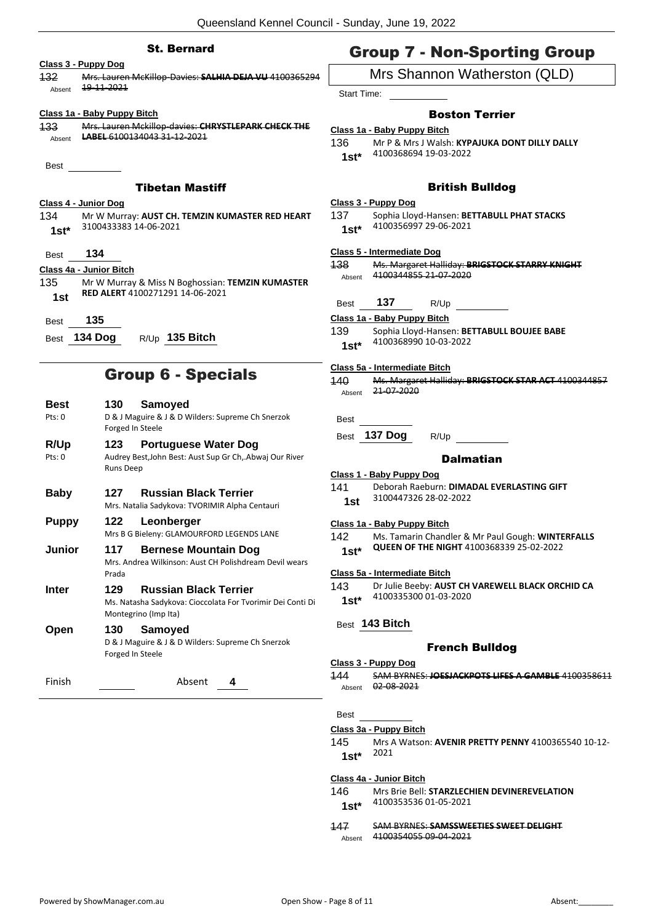### St. Bernard

### **Class 3 - Puppy Dog**

132 Mrs. Lauren McKillop-Davies: **SALHIA DEJA VU** 4100365294  $A<sub>bsent</sub>$  19-11-2021

### **Class 1a - Baby Puppy Bitch**

133 Mrs. Lauren Mckillop-davies: **CHRYSTLEPARK CHECK THE**  Absent **LABEL** 6100134043 31-12-2021

Best

### Tibetan Mastiff

### **Class 4 - Junior Dog**

134 Mr W Murray: **AUST CH. TEMZIN KUMASTER RED HEART** 3100433383 14-06-2021 **1st\***

### Best **134**

### **Class 4a - Junior Bitch**

- 135 Mr W Murray & Miss N Boghossian: **TEMZIN KUMASTER RED ALERT** 4100271291 14-06-2021 **1st**
- Best **135**
- Best **134 Dog** R/Up **135 Bitch**

### Group 6 - Specials

| <b>Best</b><br>Pts: 0 | 130.<br>Forged In Steele | Samoyed<br>D & J Maguire & J & D Wilders: Supreme Ch Snerzok                                                       |
|-----------------------|--------------------------|--------------------------------------------------------------------------------------------------------------------|
| R/Up<br>Pts: 0        | 123                      | <b>Portuguese Water Dog</b><br>Audrey Best, John Best: Aust Sup Gr Ch, Abwaj Our River                             |
| Baby                  | <b>Runs Deep</b><br>127  | <b>Russian Black Terrier</b><br>Mrs. Natalia Sadykova: TVORIMIR Alpha Centauri                                     |
| Puppy                 | 122                      | Leonberger<br>Mrs B G Bieleny: GLAMOURFORD LEGENDS LANE                                                            |
| Junior                | 117<br>Prada             | <b>Bernese Mountain Dog</b><br>Mrs. Andrea Wilkinson: Aust CH Polishdream Devil wears                              |
| Inter                 | 129                      | <b>Russian Black Terrier</b><br>Ms. Natasha Sadykova: Cioccolata For Tvorimir Dei Conti Di<br>Montegrino (Imp Ita) |
| Open                  | 130<br>Forged In Steele  | <b>Samoved</b><br>D & J Maguire & J & D Wilders: Supreme Ch Snerzok                                                |

Finish Absent **4**

## Group 7 - Non-Sporting Group

### Mrs Shannon Watherston (QLD)

Start Time:

### Boston Terrier

### **Class 1a - Baby Puppy Bitch**

- 136 Mr P & Mrs J Walsh: **KYPAJUKA DONT DILLY DALLY** 4100368694 19-03-2022 **1st\***
	-

### British Bulldog

### **Class 3 - Puppy Dog**

137 Sophia Lloyd-Hansen: **BETTABULL PHAT STACKS** 4100356997 29-06-2021 **1st\***

#### **Class 5 - Intermediate Dog**

- 138 Ms. Margaret Halliday: **BRIGSTOCK STARRY KNIGHT** Absent 4100344855 21 07 2020
- Best **137** R/Up
- **Class 1a - Baby Puppy Bitch**
- 139 Sophia Lloyd-Hansen: **BETTABULL BOUJEE BABE** 4100368990 10-03-2022 **1st\***

#### **Class 5a - Intermediate Bitch**

| 140    | Ms. Margaret Halliday: BRIGSTOCK STAR ACT 4100344857 |
|--------|------------------------------------------------------|
| Absent | 21 07 2020                                           |

**Best** 

Best **137 Dog** R/Up

#### **Dalmatian**

### **Class 1 - Baby Puppy Dog** 141 Deborah Raeburn: **DIMADAL EVERLASTING GIFT** 3100447326 28-02-2022 **1st**

### **Class 1a - Baby Puppy Bitch**

142 Ms. Tamarin Chandler & Mr Paul Gough: **WINTERFALLS QUEEN OF THE NIGHT** 4100368339 25-02-2022 **1st\***

#### **Class 5a - Intermediate Bitch**

143 Dr Julie Beeby: **AUST CH VAREWELL BLACK ORCHID CA** 4100335300 01-03-2020 **1st\***

### Best **143 Bitch**

### French Bulldog

### **Class 3 - Puppy Dog**

144 SAM BYRNES: **JOESJACKPOTS LIFES A GAMBLE** 4100358611 Absent 02 08 2021

### Best

### **Class 3a - Puppy Bitch**

145 Mrs A Watson: **AVENIR PRETTY PENNY** 4100365540 10-12- <sup>2021</sup> **1st\***

### **Class 4a - Junior Bitch**

146 Mrs Brie Bell: **STARZLECHIEN DEVINEREVELATION** 4100353536 01-05-2021 **1st\***

### 147 SAM BYRNES: **SAMSSWEETIES SWEET DELIGHT** Absent 4100354055 09 04 2021

- 
-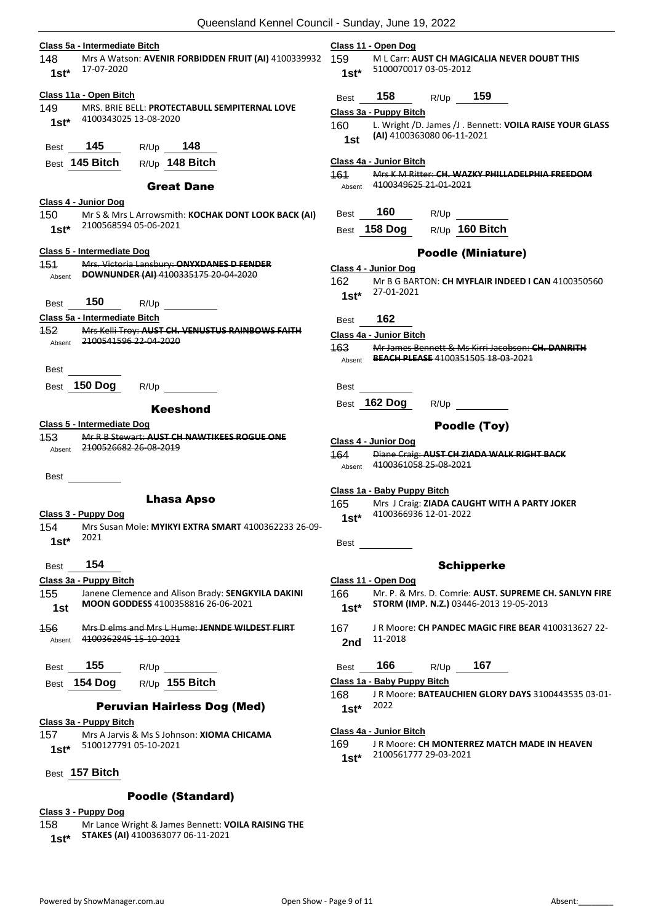| Class 5a - Intermediate Bitch                                                                 | Class 11 - Open Dog                                                                       |
|-----------------------------------------------------------------------------------------------|-------------------------------------------------------------------------------------------|
| 148<br>Mrs A Watson: AVENIR FORBIDDEN FRUIT (AI) 4100339932                                   | 159<br>ML Carr: AUST CH MAGICALIA NEVER DOUBT THIS                                        |
| 17-07-2020<br>$1st*$                                                                          | 5100070017 03-05-2012<br>$1st*$                                                           |
| Class 11a - Open Bitch                                                                        | 158<br>159<br>R/Up<br>Best                                                                |
| 149<br>MRS. BRIE BELL: PROTECTABULL SEMPITERNAL LOVE                                          | Class 3a - Puppy Bitch                                                                    |
| 4100343025 13-08-2020<br>$1st*$                                                               | L. Wright /D. James /J. Bennett: VOILA RAISE YOUR GLASS<br>160                            |
| 145<br>R/Up 148<br>Best                                                                       | (AI) 4100363080 06-11-2021<br>1st                                                         |
| 145 Bitch<br>R/Up 148 Bitch<br>Best                                                           | Class 4a - Junior Bitch                                                                   |
| <b>Great Dane</b>                                                                             | 161<br>Mrs K M Ritter: CH. WAZKY PHILLADELPHIA FREEDOM<br>4100349625 21-01-2021<br>Absent |
| Class 4 - Junior Dog                                                                          |                                                                                           |
| 150<br>Mr S & Mrs L Arrowsmith: KOCHAK DONT LOOK BACK (AI)                                    | 160<br>R/Up<br><b>Best</b>                                                                |
| 2100568594 05-06-2021<br>$1st*$                                                               | R/Up 160 Bitch<br>158 Dog<br>Best                                                         |
| Class 5 - Intermediate Dog                                                                    | <b>Poodle (Miniature)</b>                                                                 |
| 151<br>Mrs. Victoria Lansbury: ONYXDANES D FENDER                                             | Class 4 - Junior Dog                                                                      |
| DOWNUNDER (AI) 4100335175 20-04-2020<br>Absent                                                | 162<br>Mr B G BARTON: CH MYFLAIR INDEED I CAN 4100350560                                  |
|                                                                                               | 27-01-2021<br>$1st*$                                                                      |
| 150<br>R/Up<br>Best                                                                           |                                                                                           |
| Class 5a - Intermediate Bitch                                                                 | 162<br>Best                                                                               |
| Mrs Kelli Troy: AUST CH. VENUSTUS RAINBOWS FAITH<br>152                                       | <b>Class 4a - Junior Bitch</b>                                                            |
| <del>2100541596 22-04-2020</del><br>Absent                                                    | 163.<br>Mr James Bennett & Ms Kirri Jacobson: CH. DANRITH                                 |
| <b>Best</b>                                                                                   | Absent BEACH PLEASE 4100351505 18 03 2021                                                 |
| 150 Dog<br>R/Up<br>Best                                                                       | <b>Best</b>                                                                               |
|                                                                                               | 162 Dog<br>Best<br>R/Up                                                                   |
| <b>Keeshond</b>                                                                               |                                                                                           |
| Class 5 - Intermediate Dog                                                                    | Poodle (Toy)                                                                              |
| <b>453</b><br>Mr R B Stewart: AUST CH NAWTIKEES ROGUE ONE<br><del>2100526682 26 08 2019</del> | Class 4 - Junior Dog                                                                      |
| Absent                                                                                        | 164.<br>Diane Craig: AUST CH ZIADA WALK RIGHT BACK                                        |
|                                                                                               | 4100361058 25-08-2021<br>Absent                                                           |
| <b>Best</b>                                                                                   |                                                                                           |
| <b>Lhasa Apso</b>                                                                             | Class 1a - Baby Puppy Bitch                                                               |
| Class 3 - Puppy Dog                                                                           | 165.<br>Mrs J Craig: ZIADA CAUGHT WITH A PARTY JOKER<br>4100366936 12-01-2022             |
| 154<br>Mrs Susan Mole: MYIKYI EXTRA SMART 4100362233 26-09-                                   | $1st^*$                                                                                   |
| 2021<br>$1st*$                                                                                |                                                                                           |
|                                                                                               | Best                                                                                      |
| 154<br>Best                                                                                   | <b>Schipperke</b>                                                                         |
| Class 3a - Puppy Bitch                                                                        | Class 11 - Open Dog                                                                       |
| 155<br>Janene Clemence and Alison Brady: SENGKYILA DAKINI                                     | 166<br>Mr. P. & Mrs. D. Comrie: AUST. SUPREME CH. SANLYN FIRE                             |
| MOON GODDESS 4100358816 26-06-2021<br>1st                                                     | STORM (IMP. N.Z.) 03446-2013 19-05-2013<br>$1st*$                                         |
|                                                                                               |                                                                                           |
| 456<br>Mrs D elms and Mrs L Hume: JENNDE WILDEST FLIRT<br>4100362845 15 10 2021               | 167<br>J R Moore: CH PANDEC MAGIC FIRE BEAR 4100313627 22-<br>11-2018                     |
| Absent                                                                                        | 2nd                                                                                       |
| 155<br>R/Up<br>Best                                                                           | 166<br>167<br>R/Up<br>Best                                                                |
| R/Up 155 Bitch<br>154 Dog<br>Best                                                             | Class 1a - Baby Puppy Bitch                                                               |
|                                                                                               | 168<br>JR Moore: BATEAUCHIEN GLORY DAYS 3100443535 03-01-                                 |
| <b>Peruvian Hairless Dog (Med)</b>                                                            | 2022<br>$1st*$                                                                            |
| Class 3a - Puppy Bitch                                                                        |                                                                                           |
| 157<br>Mrs A Jarvis & Ms S Johnson: XIOMA CHICAMA                                             | Class 4a - Junior Bitch                                                                   |
| 5100127791 05-10-2021<br>$1st*$                                                               | 169<br>J R Moore: CH MONTERREZ MATCH MADE IN HEAVEN                                       |
|                                                                                               | 2100561777 29-03-2021<br>$1st*$                                                           |
| Best 157 Bitch                                                                                |                                                                                           |

**Class 3 - Puppy Dog**

Poodle (Standard)

158 Mr Lance Wright & James Bennett: **VOILA RAISING THE** 

**STAKES (AI)** 4100363077 06-11-2021 **1st\***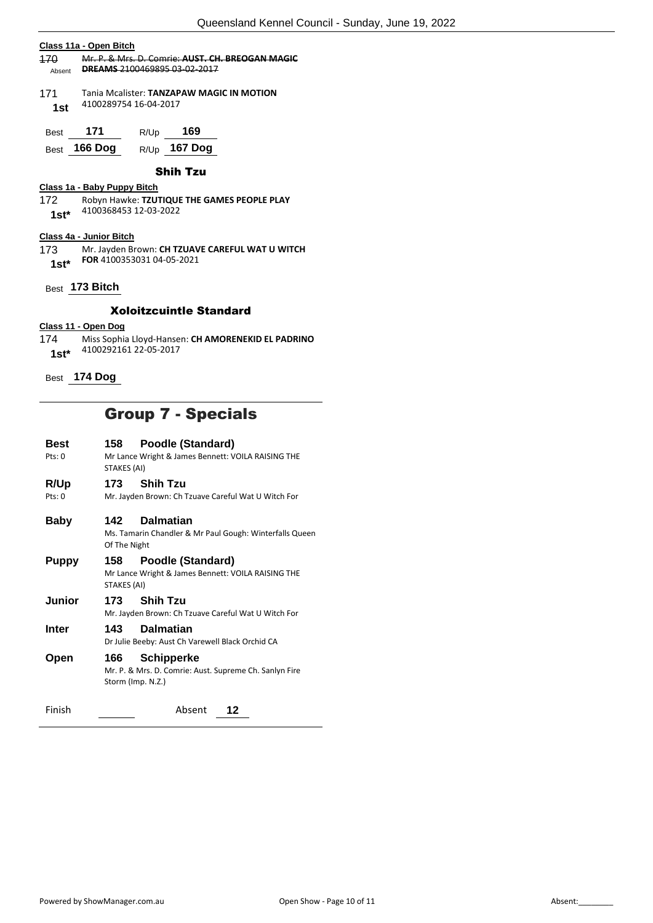### **Class 11a - Open Bitch** 170 Mr. P. & Mrs. D. Comrie: **AUST. CH. BREOGAN MAGIC**  Absent **DREAMS** 2100469895 03-02-2017 171 Tania Mcalister: **TANZAPAW MAGIC IN MOTION** 4100289754 16-04-2017 **1st** Best **171** R/Up **169** Best **166 Dog** R/Up **167 Dog** Shih Tzu **Class 1a - Baby Puppy Bitch** 172 Robyn Hawke: **TZUTIQUE THE GAMES PEOPLE PLAY** 4100368453 12-03-2022 **1st\* Class 4a - Junior Bitch** 173 Mr. Jayden Brown: **CH TZUAVE CAREFUL WAT U WITCH FOR** 4100353031 04-05-2021 **1st\*** Best **173 Bitch** Xoloitzcuintle Standard **Class 11 - Open Dog**

- 174 Miss Sophia Lloyd-Hansen: **CH AMORENEKID EL PADRINO** 4100292161 22-05-2017 **1st\***
- Best **174 Dog**

## Group 7 - Specials

| Best<br>Pts: 0 | 158<br>STAKES (AI)                                                                                 | Poodle (Standard)<br>Mr Lance Wright & James Bennett: VOILA RAISING THE                          |
|----------------|----------------------------------------------------------------------------------------------------|--------------------------------------------------------------------------------------------------|
| R/Up<br>Pts: 0 | 173                                                                                                | <b>Shih Tzu</b><br>Mr. Jayden Brown: Ch Tzuave Careful Wat U Witch For                           |
| Baby           | <b>Dalmatian</b><br>142<br>Ms. Tamarin Chandler & Mr Paul Gough: Winterfalls Queen<br>Of The Night |                                                                                                  |
| Puppy          | 158<br>STAKES (AI)                                                                                 | <b>Poodle (Standard)</b><br>Mr Lance Wright & James Bennett: VOILA RAISING THE                   |
| Junior         | 173                                                                                                | <b>Shih Tzu</b><br>Mr. Jayden Brown: Ch Tzuave Careful Wat U Witch For                           |
| Inter          | 143                                                                                                | <b>Dalmatian</b><br>Dr Julie Beeby: Aust Ch Varewell Black Orchid CA                             |
| Open           | 166                                                                                                | <b>Schipperke</b><br>Mr. P. & Mrs. D. Comrie: Aust. Supreme Ch. Sanlyn Fire<br>Storm (Imp. N.Z.) |
| Finish         |                                                                                                    | Absent<br>12                                                                                     |